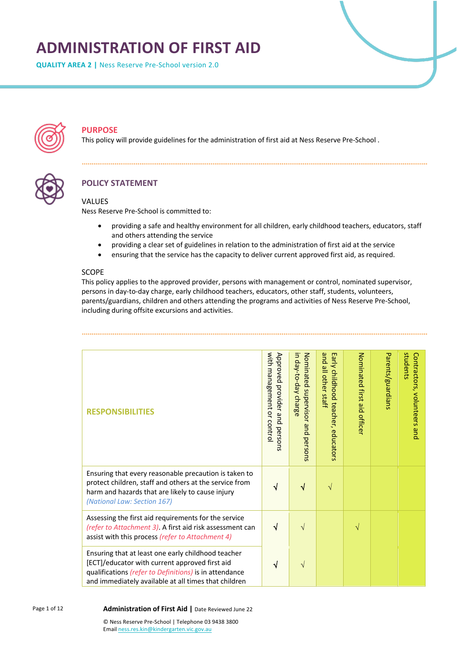# **ADMINISTRATION OF FIRST AID**

**QUALITY AREA 2 |** Ness Reserve Pre-School version 2.0



# **PURPOSE**

This policy will provide guidelines for the administration of first aid at Ness Reserve Pre-School .



# **POLICY STATEMENT**

#### VALUES

Ness Reserve Pre-School is committed to:

- providing a safe and healthy environment for all children, early childhood teachers, educators, staff and others attending the service
- providing a clear set of guidelines in relation to the administration of first aid at the service
- ensuring that the service has the capacity to deliver current approved first aid, as required.

#### SCOPE

This policy applies to the approved provider, persons with management or control, nominated supervisor, persons in day-to-day charge, early childhood teachers, educators, other staff, students, volunteers, parents/guardians, children and others attending the programs and activities of Ness Reserve Pre-School, including during offsite excursions and activities.

| <b>RESPONSIBILITIES</b>                                                                                                                                                                                                | with management<br>Approved<br>provider<br>$\leq$<br>and<br>contro<br>persons | Б<br>Nominated<br>day-to-day<br>supervisor<br>charge<br>qnd<br>persons | pue<br>Early childhood<br>all other<br>staff<br>teacher,<br>educators | Nominated first<br>aid<br>officer | Parents/guardians | students<br>Contractors, volunteers and |
|------------------------------------------------------------------------------------------------------------------------------------------------------------------------------------------------------------------------|-------------------------------------------------------------------------------|------------------------------------------------------------------------|-----------------------------------------------------------------------|-----------------------------------|-------------------|-----------------------------------------|
| Ensuring that every reasonable precaution is taken to<br>protect children, staff and others at the service from<br>harm and hazards that are likely to cause injury<br>(National Law: Section 167)                     |                                                                               |                                                                        | V                                                                     |                                   |                   |                                         |
| Assessing the first aid requirements for the service<br>(refer to Attachment 3). A first aid risk assessment can<br>assist with this process (refer to Attachment 4)                                                   | ิ่ง                                                                           |                                                                        |                                                                       | $\sqrt{}$                         |                   |                                         |
| Ensuring that at least one early childhood teacher<br>[ECT]/educator with current approved first aid<br>qualifications (refer to Definitions) is in attendance<br>and immediately available at all times that children |                                                                               |                                                                        |                                                                       |                                   |                   |                                         |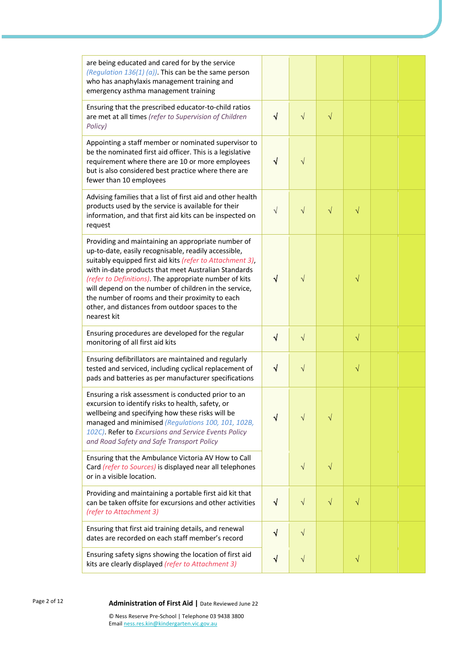| are being educated and cared for by the service<br>(Regulation $136(1)$ (a)). This can be the same person<br>who has anaphylaxis management training and<br>emergency asthma management training                                                                                                                                                                                                                                                                        |           |           |           |           |  |
|-------------------------------------------------------------------------------------------------------------------------------------------------------------------------------------------------------------------------------------------------------------------------------------------------------------------------------------------------------------------------------------------------------------------------------------------------------------------------|-----------|-----------|-----------|-----------|--|
| Ensuring that the prescribed educator-to-child ratios<br>are met at all times (refer to Supervision of Children<br>Policy)                                                                                                                                                                                                                                                                                                                                              | $\sqrt{}$ | $\sqrt{}$ | $\sqrt{}$ |           |  |
| Appointing a staff member or nominated supervisor to<br>be the nominated first aid officer. This is a legislative<br>requirement where there are 10 or more employees<br>but is also considered best practice where there are<br>fewer than 10 employees                                                                                                                                                                                                                | √         | $\sqrt{}$ |           |           |  |
| Advising families that a list of first aid and other health<br>products used by the service is available for their<br>information, and that first aid kits can be inspected on<br>request                                                                                                                                                                                                                                                                               | $\sqrt{}$ | $\sqrt{}$ | $\sqrt{}$ | $\sqrt{}$ |  |
| Providing and maintaining an appropriate number of<br>up-to-date, easily recognisable, readily accessible,<br>suitably equipped first aid kits (refer to Attachment 3),<br>with in-date products that meet Australian Standards<br>(refer to Definitions). The appropriate number of kits<br>will depend on the number of children in the service,<br>the number of rooms and their proximity to each<br>other, and distances from outdoor spaces to the<br>nearest kit | √         | $\sqrt{}$ |           | $\sqrt{}$ |  |
| Ensuring procedures are developed for the regular<br>monitoring of all first aid kits                                                                                                                                                                                                                                                                                                                                                                                   | $\sqrt{}$ | $\sqrt{}$ |           | $\sqrt{}$ |  |
| Ensuring defibrillators are maintained and regularly<br>tested and serviced, including cyclical replacement of<br>pads and batteries as per manufacturer specifications                                                                                                                                                                                                                                                                                                 | $\sqrt{}$ | $\sqrt{}$ |           | $\sqrt{}$ |  |
| Ensuring a risk assessment is conducted prior to an<br>excursion to identify risks to health, safety, or<br>wellbeing and specifying how these risks will be<br>managed and minimised (Regulations 100, 101, 102B,<br>102C). Refer to Excursions and Service Events Policy<br>and Road Safety and Safe Transport Policy                                                                                                                                                 | $\sqrt{}$ | $\sqrt{}$ | $\sqrt{}$ |           |  |
| Ensuring that the Ambulance Victoria AV How to Call<br>Card (refer to Sources) is displayed near all telephones<br>or in a visible location.                                                                                                                                                                                                                                                                                                                            |           | $\sqrt{}$ | $\sqrt{}$ |           |  |
| Providing and maintaining a portable first aid kit that<br>can be taken offsite for excursions and other activities<br>(refer to Attachment 3)                                                                                                                                                                                                                                                                                                                          | $\sqrt{}$ | $\sqrt{}$ | $\sqrt{}$ | $\sqrt{}$ |  |
| Ensuring that first aid training details, and renewal<br>dates are recorded on each staff member's record                                                                                                                                                                                                                                                                                                                                                               | $\sqrt{}$ | $\sqrt{}$ |           |           |  |
| Ensuring safety signs showing the location of first aid<br>kits are clearly displayed (refer to Attachment 3)                                                                                                                                                                                                                                                                                                                                                           | $\sqrt{}$ | $\sqrt{}$ |           | $\sqrt{}$ |  |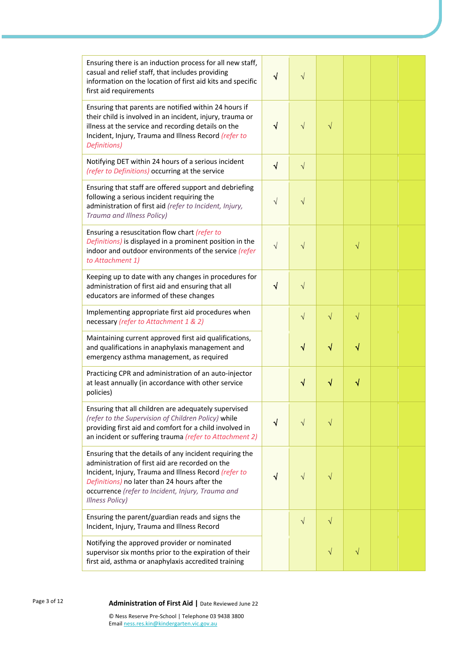| Ensuring there is an induction process for all new staff,<br>casual and relief staff, that includes providing<br>information on the location of first aid kits and specific<br>first aid requirements                                                                                               | $\sqrt{ }$ | $\sqrt{}$ |           |           |  |
|-----------------------------------------------------------------------------------------------------------------------------------------------------------------------------------------------------------------------------------------------------------------------------------------------------|------------|-----------|-----------|-----------|--|
| Ensuring that parents are notified within 24 hours if<br>their child is involved in an incident, injury, trauma or<br>illness at the service and recording details on the<br>Incident, Injury, Trauma and Illness Record (refer to<br>Definitions)                                                  | √          | $\sqrt{}$ | V         |           |  |
| Notifying DET within 24 hours of a serious incident<br>(refer to Definitions) occurring at the service                                                                                                                                                                                              | √          | $\sqrt{}$ |           |           |  |
| Ensuring that staff are offered support and debriefing<br>following a serious incident requiring the<br>administration of first aid (refer to Incident, Injury,<br>Trauma and Illness Policy)                                                                                                       | $\sqrt{}$  | $\sqrt{}$ |           |           |  |
| Ensuring a resuscitation flow chart (refer to<br>Definitions) is displayed in a prominent position in the<br>indoor and outdoor environments of the service (refer<br>to Attachment 1)                                                                                                              | $\sqrt{}$  | V         |           | $\sqrt{}$ |  |
| Keeping up to date with any changes in procedures for<br>administration of first aid and ensuring that all<br>educators are informed of these changes                                                                                                                                               | √          | $\sqrt{}$ |           |           |  |
| Implementing appropriate first aid procedures when<br>necessary (refer to Attachment 1 & 2)                                                                                                                                                                                                         |            | $\sqrt{}$ | $\sqrt{}$ | $\sqrt{}$ |  |
| Maintaining current approved first aid qualifications,<br>and qualifications in anaphylaxis management and<br>emergency asthma management, as required                                                                                                                                              |            | $\sqrt{}$ | $\sqrt{}$ | $\sqrt{}$ |  |
| Practicing CPR and administration of an auto-injector<br>at least annually (in accordance with other service<br>policies)                                                                                                                                                                           |            | V         |           | ٧         |  |
| Ensuring that all children are adequately supervised<br>(refer to the Supervision of Children Policy) while<br>providing first aid and comfort for a child involved in<br>an incident or suffering trauma (refer to Attachment 2)                                                                   | √          | $\sqrt{}$ | $\sqrt{}$ |           |  |
| Ensuring that the details of any incident requiring the<br>administration of first aid are recorded on the<br>Incident, Injury, Trauma and Illness Record (refer to<br>Definitions) no later than 24 hours after the<br>occurrence (refer to Incident, Injury, Trauma and<br><b>Illness Policy)</b> |            | V         |           |           |  |
| Ensuring the parent/guardian reads and signs the<br>Incident, Injury, Trauma and Illness Record                                                                                                                                                                                                     |            | $\sqrt{}$ | $\sqrt{}$ |           |  |
| Notifying the approved provider or nominated<br>supervisor six months prior to the expiration of their<br>first aid, asthma or anaphylaxis accredited training                                                                                                                                      |            |           | V         | V         |  |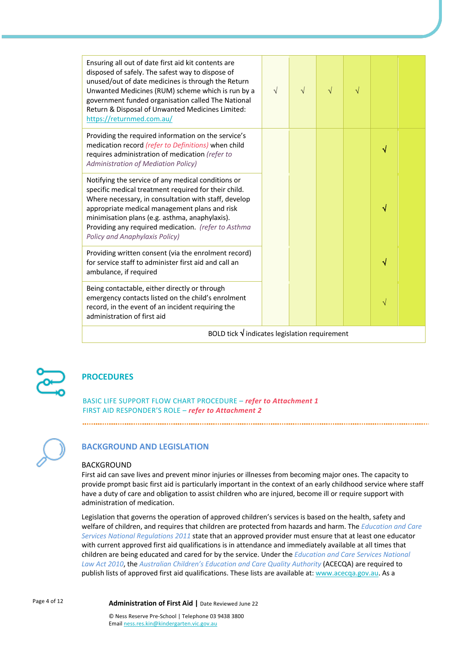| Ensuring all out of date first aid kit contents are<br>disposed of safely. The safest way to dispose of<br>unused/out of date medicines is through the Return<br>Unwanted Medicines (RUM) scheme which is run by a<br>government funded organisation called The National<br>Return & Disposal of Unwanted Medicines Limited:<br>https://returnmed.com.au/             | $\sqrt{ }$ | $\sqrt{}$ | V | V |   |  |
|-----------------------------------------------------------------------------------------------------------------------------------------------------------------------------------------------------------------------------------------------------------------------------------------------------------------------------------------------------------------------|------------|-----------|---|---|---|--|
| Providing the required information on the service's<br>medication record (refer to Definitions) when child<br>requires administration of medication (refer to<br><b>Administration of Mediation Policy)</b>                                                                                                                                                           |            |           |   |   |   |  |
| Notifying the service of any medical conditions or<br>specific medical treatment required for their child.<br>Where necessary, in consultation with staff, develop<br>appropriate medical management plans and risk<br>minimisation plans (e.g. asthma, anaphylaxis).<br>Providing any required medication. (refer to Asthma<br><b>Policy and Anaphylaxis Policy)</b> |            |           |   |   | V |  |
| Providing written consent (via the enrolment record)<br>for service staff to administer first aid and call an<br>ambulance, if required                                                                                                                                                                                                                               |            |           |   |   |   |  |
| Being contactable, either directly or through<br>emergency contacts listed on the child's enrolment<br>record, in the event of an incident requiring the<br>administration of first aid                                                                                                                                                                               |            |           |   |   | N |  |
| BOLD tick $\sqrt{}$ indicates legislation requirement                                                                                                                                                                                                                                                                                                                 |            |           |   |   |   |  |



# **PROCEDURES**

BASIC LIFE SUPPORT FLOW CHART PROCEDURE – *refer to Attachment 1* FIRST AID RESPONDER'S ROLE – *refer to Attachment 2*

### **BACKGROUND AND LEGISLATION**

#### BACKGROUND

First aid can save lives and prevent minor injuries or illnesses from becoming major ones. The capacity to provide prompt basic first aid is particularly important in the context of an early childhood service where staff have a duty of care and obligation to assist children who are injured, become ill or require support with administration of medication.

Legislation that governs the operation of approved children's services is based on the health, safety and welfare of children, and requires that children are protected from hazards and harm. The *Education and Care Services National Regulations 2011* state that an approved provider must ensure that at least one educator with current approved first aid qualifications is in attendance and immediately available at all times that children are being educated and cared for by the service. Under the *Education and Care Services National*  Law Act 2010, the Australian Children's Education and Care Quality Authority (ACECQA) are required to publish lists of approved first aid qualifications. These lists are available at: www.acecqa.gov.au. As a

Page 4 of 12

#### **Administration of First Aid |** Date Reviewed June 22

© Ness Reserve Pre-School | Telephone 03 9438 3800 Email ness.res.kin@kindergarten.vic.gov.au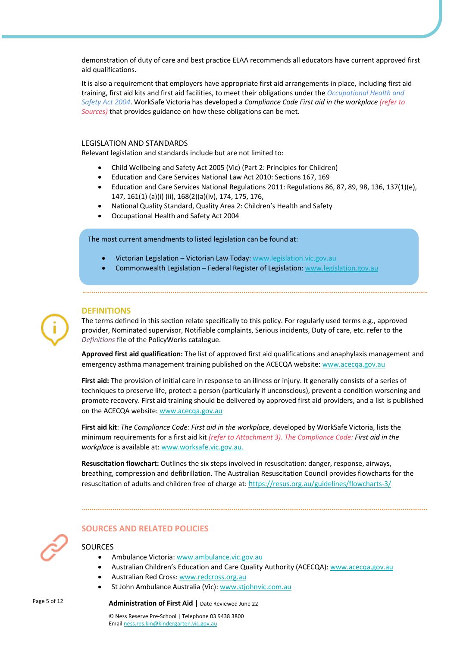demonstration of duty of care and best practice ELAA recommends all educators have current approved first aid qualifications.

It is also a requirement that employers have appropriate first aid arrangements in place, including first aid training, first aid kits and first aid facilities, to meet their obligations under the *Occupational Health and Safety Act 2004*. WorkSafe Victoria has developed a *Compliance Code First aid in the workplace (refer to Sources)* that provides guidance on how these obligations can be met.

#### LEGISLATION AND STANDARDS

Relevant legislation and standards include but are not limited to:

- Child Wellbeing and Safety Act 2005 (Vic) (Part 2: Principles for Children)
- Education and Care Services National Law Act 2010: Sections 167, 169
- Education and Care Services National Regulations 2011: Regulations 86, 87, 89, 98, 136, 137(1)(e), 147, 161(1) (a)(i) (ii), 168(2)(a)(iv), 174, 175, 176,
- National Quality Standard, Quality Area 2: Children's Health and Safety
- Occupational Health and Safety Act 2004

#### The most current amendments to listed legislation can be found at:

- Victorian Legislation Victorian Law Today: www.legislation.vic.gov.au
- Commonwealth Legislation Federal Register of Legislation: www.legislation.gov.au

#### **DEFINITIONS**

The terms defined in this section relate specifically to this policy. For regularly used terms e.g., approved provider, Nominated supervisor, Notifiable complaints, Serious incidents, Duty of care, etc. refer to the *Definitions* file of the PolicyWorks catalogue.

**Approved first aid qualification:** The list of approved first aid qualifications and anaphylaxis management and emergency asthma management training published on the ACECQA website: www.acecqa.gov.au

**First aid:** The provision of initial care in response to an illness or injury. It generally consists of a series of techniques to preserve life, protect a person (particularly if unconscious), prevent a condition worsening and promote recovery. First aid training should be delivered by approved first aid providers, and a list is published on the ACECQA website: www.acecqa.gov.au

**First aid kit**: *The Compliance Code: First aid in the workplace*, developed by WorkSafe Victoria, lists the minimum requirements for a first aid kit *(refer to Attachment 3). The Compliance Code: First aid in the workplace* is available at: www.worksafe.vic.gov.au.

**Resuscitation flowchart:** Outlines the six steps involved in resuscitation: danger, response, airways, breathing, compression and defibrillation. The Australian Resuscitation Council provides flowcharts for the resuscitation of adults and children free of charge at: https://resus.org.au/guidelines/flowcharts-3/

#### **SOURCES AND RELATED POLICIES**

#### **SOURCES**

- Ambulance Victoria: www.ambulance.vic.gov.au
- Australian Children's Education and Care Quality Authority (ACECQA): www.acecqa.gov.au
- Australian Red Cross: www.redcross.org.au
- St John Ambulance Australia (Vic): www.stjohnvic.com.au

#### Page 5 of 12

#### **Administration of First Aid |** Date Reviewed June 22

© Ness Reserve Pre-School | Telephone 03 9438 3800 Email ness.res.kin@kindergarten.vic.gov.au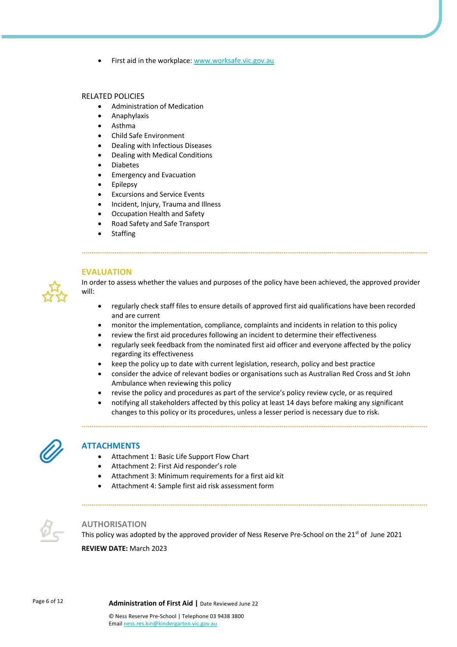• First aid in the workplace: www.worksafe.vic.gov.au

#### RELATED POLICIES

- Administration of Medication
- Anaphylaxis
- Asthma
- Child Safe Environment
- Dealing with Infectious Diseases
- Dealing with Medical Conditions
- Diabetes
- Emergency and Evacuation
- **Epilepsy**
- Excursions and Service Events
- Incident, Injury, Trauma and Illness
- Occupation Health and Safety
- Road Safety and Safe Transport
- **Staffing**

**EVALUATION**



In order to assess whether the values and purposes of the policy have been achieved, the approved provider will:

- regularly check staff files to ensure details of approved first aid qualifications have been recorded and are current
- monitor the implementation, compliance, complaints and incidents in relation to this policy
- review the first aid procedures following an incident to determine their effectiveness
- regularly seek feedback from the nominated first aid officer and everyone affected by the policy regarding its effectiveness
- keep the policy up to date with current legislation, research, policy and best practice
- consider the advice of relevant bodies or organisations such as Australian Red Cross and St John Ambulance when reviewing this policy
- revise the policy and procedures as part of the service's policy review cycle, or as required
- notifying all stakeholders affected by this policy at least 14 days before making any significant changes to this policy or its procedures, unless a lesser period is necessary due to risk.



#### **ATTACHMENTS**

- Attachment 1: Basic Life Support Flow Chart
- Attachment 2: First Aid responder's role
- Attachment 3: Minimum requirements for a first aid kit

• Attachment 4: Sample first aid risk assessment form



#### **AUTHORISATION**

This policy was adopted by the approved provider of Ness Reserve Pre-School on the  $21^{st}$  of June 2021 **REVIEW DATE:** March 2023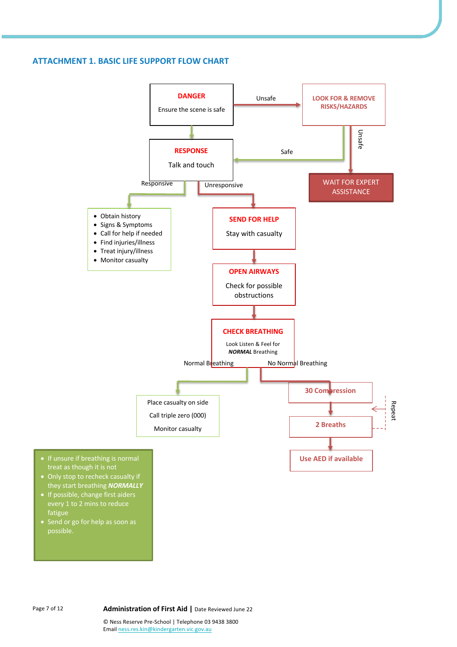#### **ATTACHMENT 1. BASIC LIFE SUPPORT FLOW CHART**



possible.

fatigue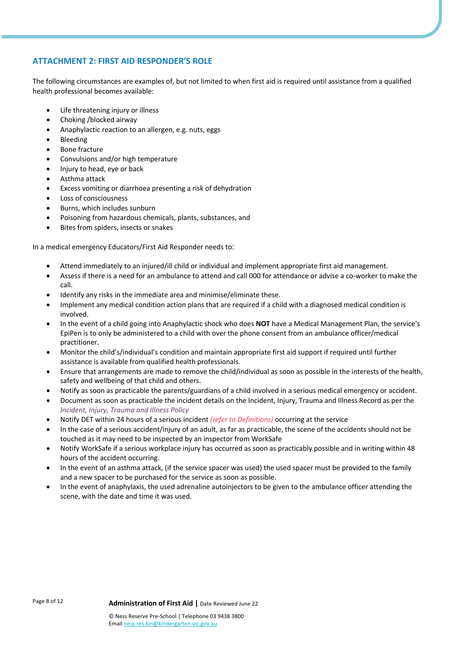### **ATTACHMENT 2: FIRST AID RESPONDER'S ROLE**

The following circumstances are examples of, but not limited to when first aid is required until assistance from a qualified health professional becomes available:

- Life threatening injury or illness
- Choking /blocked airway
- Anaphylactic reaction to an allergen, e.g. nuts, eggs
- Bleeding
- Bone fracture
- Convulsions and/or high temperature
- Injury to head, eye or back
- Asthma attack
- Excess vomiting or diarrhoea presenting a risk of dehydration
- Loss of consciousness
- Burns, which includes sunburn
- Poisoning from hazardous chemicals, plants, substances, and
- Bites from spiders, insects or snakes

In a medical emergency Educators/First Aid Responder needs to:

- Attend immediately to an injured/ill child or individual and implement appropriate first aid management.
- Assess if there is a need for an ambulance to attend and call 000 for attendance or advise a co-worker to make the call.
- Identify any risks in the immediate area and minimise/eliminate these.
- Implement any medical condition action plans that are required if a child with a diagnosed medical condition is involved.
- In the event of a child going into Anaphylactic shock who does **NOT** have a Medical Management Plan, the service's EpiPen is to only be administered to a child with over the phone consent from an ambulance officer/medical practitioner.
- Monitor the child's/individual's condition and maintain appropriate first aid support if required until further assistance is available from qualified health professionals.
- Ensure that arrangements are made to remove the child/individual as soon as possible in the interests of the health, safety and wellbeing of that child and others.
- Notify as soon as practicable the parents/guardians of a child involved in a serious medical emergency or accident.
- Document as soon as practicable the incident details on the Incident, Injury, Trauma and Illness Record as per the *Incident, Injury, Trauma and Illness Policy*
- Notify DET within 24 hours of a serious incident *(refer to Definitions)* occurring at the service
- In the case of a serious accident/injury of an adult, as far as practicable, the scene of the accidents should not be touched as it may need to be inspected by an inspector from WorkSafe
- Notify WorkSafe if a serious workplace injury has occurred as soon as practicably possible and in writing within 48 hours of the accident occurring.
- In the event of an asthma attack, (if the service spacer was used) the used spacer must be provided to the family and a new spacer to be purchased for the service as soon as possible.
- In the event of anaphylaxis, the used adrenaline autoinjectors to be given to the ambulance officer attending the scene, with the date and time it was used.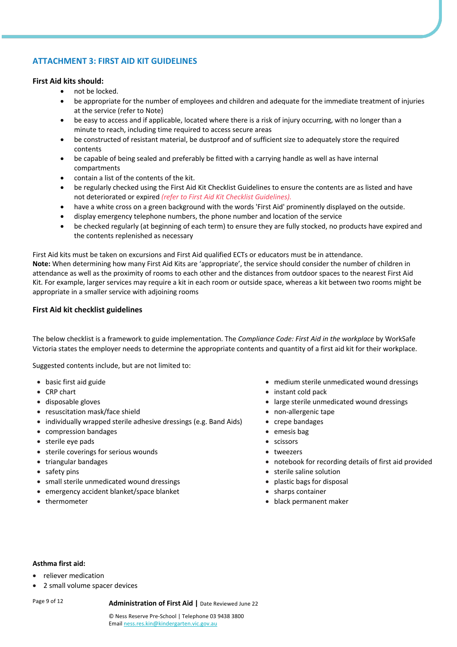## **ATTACHMENT 3: FIRST AID KIT GUIDELINES**

#### **First Aid kits should:**

- not be locked.
- be appropriate for the number of employees and children and adequate for the immediate treatment of injuries at the service (refer to Note)
- be easy to access and if applicable, located where there is a risk of injury occurring, with no longer than a minute to reach, including time required to access secure areas
- be constructed of resistant material, be dustproof and of sufficient size to adequately store the required contents
- be capable of being sealed and preferably be fitted with a carrying handle as well as have internal compartments
- contain a list of the contents of the kit.
- be regularly checked using the First Aid Kit Checklist Guidelines to ensure the contents are as listed and have not deteriorated or expired *(refer to First Aid Kit Checklist Guidelines).*
- have a white cross on a green background with the words 'First Aid' prominently displayed on the outside.
- display emergency telephone numbers, the phone number and location of the service
- be checked regularly (at beginning of each term) to ensure they are fully stocked, no products have expired and the contents replenished as necessary

First Aid kits must be taken on excursions and First Aid qualified ECTs or educators must be in attendance. **Note:** When determining how many First Aid Kits are 'appropriate', the service should consider the number of children in attendance as well as the proximity of rooms to each other and the distances from outdoor spaces to the nearest First Aid Kit. For example, larger services may require a kit in each room or outside space, whereas a kit between two rooms might be appropriate in a smaller service with adjoining rooms

#### **First Aid kit checklist guidelines**

The below checklist is a framework to guide implementation. The *Compliance Code: First Aid in the workplace* by WorkSafe Victoria states the employer needs to determine the appropriate contents and quantity of a first aid kit for their workplace.

Suggested contents include, but are not limited to:

- 
- 
- 
- resuscitation mask/face shield **•** non-allergenic tape
- individually wrapped sterile adhesive dressings (e.g. Band Aids) crepe bandages
- compression bandages emesis bag
- sterile eye pads scissors
- sterile coverings for serious wounds tweezers
- 
- 
- small sterile unmedicated wound dressings  **leads** plastic bags for disposal
- emergency accident blanket/space blanket sharps container
- 
- basic first aid guide medium sterile unmedicated wound dressings
- CRP chart instant cold pack **•** instant cold pack
- disposable gloves large sterile unmedicated wound dressings
	-
	-
	-
	-
	-
- triangular bandages notebook for recording details of first aid provided
- safety pins sterile saline solution
	-
	-
- thermometer black permanent maker

#### **Asthma first aid:**

- reliever medication
- 2 small volume spacer devices

Page 9 of 12

**Administration of First Aid |** Date Reviewed June 22

© Ness Reserve Pre-School | Telephone 03 9438 3800 Email ness.res.kin@kindergarten.vic.gov.au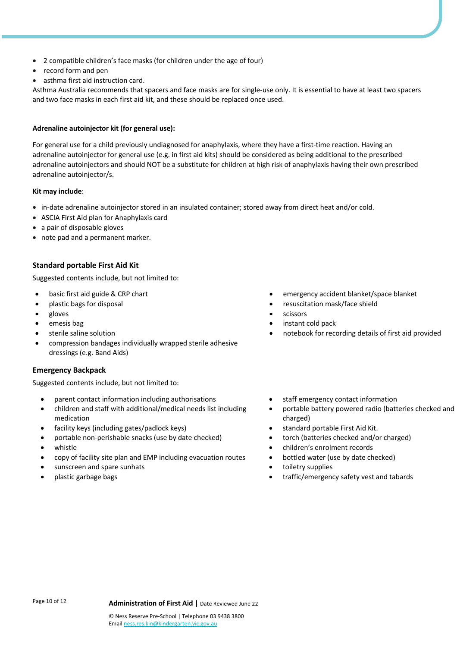- 2 compatible children's face masks (for children under the age of four)
- record form and pen
- asthma first aid instruction card.

Asthma Australia recommends that spacers and face masks are for single-use only. It is essential to have at least two spacers and two face masks in each first aid kit, and these should be replaced once used.

#### **Adrenaline autoinjector kit (for general use):**

For general use for a child previously undiagnosed for anaphylaxis, where they have a first-time reaction. Having an adrenaline autoinjector for general use (e.g. in first aid kits) should be considered as being additional to the prescribed adrenaline autoinjectors and should NOT be a substitute for children at high risk of anaphylaxis having their own prescribed adrenaline autoinjector/s.

#### **Kit may include**:

- in-date adrenaline autoinjector stored in an insulated container; stored away from direct heat and/or cold.
- ASCIA First Aid plan for Anaphylaxis card
- a pair of disposable gloves
- note pad and a permanent marker.

#### **Standard portable First Aid Kit**

Suggested contents include, but not limited to:

- 
- 
- 
- 
- 
- compression bandages individually wrapped sterile adhesive dressings (e.g. Band Aids)

#### **Emergency Backpack**

Suggested contents include, but not limited to:

- parent contact information including authorisations staff emergency contact information
- children and staff with additional/medical needs list including medication
- facility keys (including gates/padlock keys) **•** standard portable First Aid Kit.
- portable non-perishable snacks (use by date checked) torch (batteries checked and/or charged)
- 
- copy of facility site plan and EMP including evacuation routes bottled water (use by date checked)
- sunscreen and spare sunhats toiletry supplies
- 
- basic first aid guide & CRP chart  **emergency accident blanket/space blanket** 
	- plastic bags for disposal resuscitation mask/face shield
- gloves scissors
	- emesis bag instant cold pack
	- sterile saline solution notebook for recording details of first aid provided
		-
		- portable battery powered radio (batteries checked and charged)
		-
		-
		- whistle children's enrolment records
			-
			-
		- plastic garbage bags traffic/emergency safety vest and tabards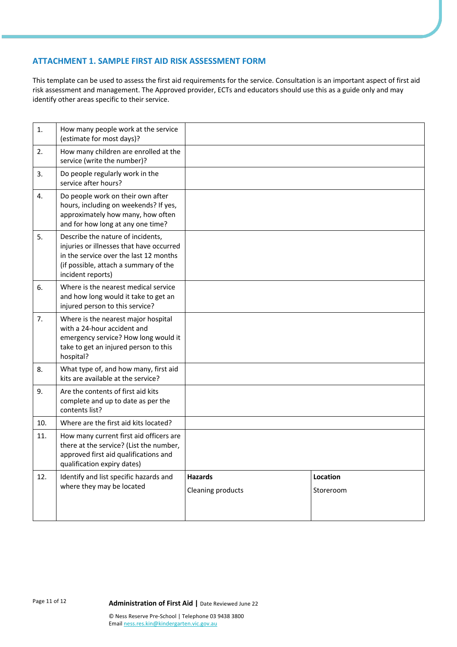#### **ATTACHMENT 1. SAMPLE FIRST AID RISK ASSESSMENT FORM**

This template can be used to assess the first aid requirements for the service. Consultation is an important aspect of first aid risk assessment and management. The Approved provider, ECTs and educators should use this as a guide only and may identify other areas specific to their service.

| 1.  | How many people work at the service<br>(estimate for most days)?                                                                                                                      |                                     |                       |
|-----|---------------------------------------------------------------------------------------------------------------------------------------------------------------------------------------|-------------------------------------|-----------------------|
| 2.  | How many children are enrolled at the<br>service (write the number)?                                                                                                                  |                                     |                       |
| 3.  | Do people regularly work in the<br>service after hours?                                                                                                                               |                                     |                       |
| 4.  | Do people work on their own after<br>hours, including on weekends? If yes,<br>approximately how many, how often<br>and for how long at any one time?                                  |                                     |                       |
| 5.  | Describe the nature of incidents,<br>injuries or illnesses that have occurred<br>in the service over the last 12 months<br>(if possible, attach a summary of the<br>incident reports) |                                     |                       |
| 6.  | Where is the nearest medical service<br>and how long would it take to get an<br>injured person to this service?                                                                       |                                     |                       |
| 7.  | Where is the nearest major hospital<br>with a 24-hour accident and<br>emergency service? How long would it<br>take to get an injured person to this<br>hospital?                      |                                     |                       |
| 8.  | What type of, and how many, first aid<br>kits are available at the service?                                                                                                           |                                     |                       |
| 9.  | Are the contents of first aid kits<br>complete and up to date as per the<br>contents list?                                                                                            |                                     |                       |
| 10. | Where are the first aid kits located?                                                                                                                                                 |                                     |                       |
| 11. | How many current first aid officers are<br>there at the service? (List the number,<br>approved first aid qualifications and<br>qualification expiry dates)                            |                                     |                       |
| 12. | Identify and list specific hazards and<br>where they may be located                                                                                                                   | <b>Hazards</b><br>Cleaning products | Location<br>Storeroom |